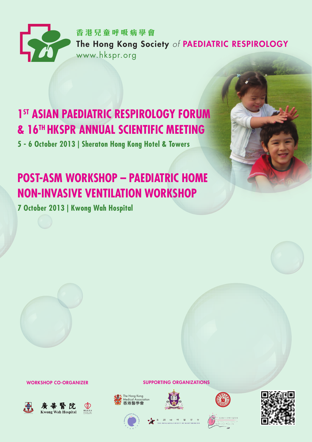

## **1st ASIAN PAEDIATRIC RESPIROLOGY FORUM & 16TH HKSPR ANNUAL SCIENTIFIC MEETING**

**5 - 6 October 2013 | Sheraton Hong Kong Hotel & Towers**

# **POST-ASM WORKSHOP – PAEDIATRIC HOME NON-INVASIVE VENTILATION WORKSHOP**

**7 October 2013 | Kwong Wah Hospital**



WORKSHOP CO-ORGANIZER





 $\bigcap$  $\sum_{i\in I} \alpha_i$ 









SUPPORTING ORGANIZATIONS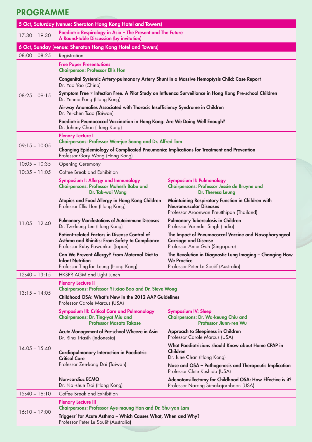## PROGRAMME

| 5 Oct, Saturday (venue: Sheraton Hong Kong Hotel and Towers) |                                                                                                                                        |                                                                                                                                 |  |  |  |  |  |  |
|--------------------------------------------------------------|----------------------------------------------------------------------------------------------------------------------------------------|---------------------------------------------------------------------------------------------------------------------------------|--|--|--|--|--|--|
| $17:30 - 19:30$                                              | Paediatric Respirology in Asia - The Present and The Future<br>A Round-table Discussion (by invitation)                                |                                                                                                                                 |  |  |  |  |  |  |
|                                                              | 6 Oct, Sunday (venue: Sheraton Hong Kong Hotel and Towers)                                                                             |                                                                                                                                 |  |  |  |  |  |  |
| $08:00 - 08:25$                                              | Registration                                                                                                                           |                                                                                                                                 |  |  |  |  |  |  |
|                                                              | <b>Free Paper Presentations</b><br><b>Chairperson: Professor Ellis Hon</b>                                                             |                                                                                                                                 |  |  |  |  |  |  |
|                                                              | Congenital Systemic Artery-pulmonary Artery Shunt in a Massive Hemoptysis Child: Case Report<br>Dr. Yao Yao (China)                    |                                                                                                                                 |  |  |  |  |  |  |
| $08:25 - 09:15$                                              | Symptom Free ≠ Infection Free. A Pilot Study on Influenza Surveillance in Hong Kong Pre-school Children<br>Dr. Yennie Pang (Hong Kong) |                                                                                                                                 |  |  |  |  |  |  |
|                                                              | Airway Anomalies Associated with Thoracic Insufficiency Syndrome in Children<br>Dr. Pei-chen Tsao (Taiwan)                             |                                                                                                                                 |  |  |  |  |  |  |
|                                                              | Paediatric Peumococcal Vaccination in Hong Kong: Are We Doing Well Enough?<br>Dr. Johnny Chan (Hong Kong)                              |                                                                                                                                 |  |  |  |  |  |  |
| $09:15 - 10:05$                                              | Plenary Lecture I<br>Chairpersons: Professor Wen-jue Soong and Dr. Alfred Tam                                                          |                                                                                                                                 |  |  |  |  |  |  |
|                                                              | Changing Epidemiology of Complicated Pneumonia: Implications for Treatment and Prevention<br>Professor Gary Wong (Hong Kong)           |                                                                                                                                 |  |  |  |  |  |  |
| $10:05 - 10:35$                                              | <b>Opening Ceremony</b>                                                                                                                |                                                                                                                                 |  |  |  |  |  |  |
| $10:35 - 11:05$                                              | Coffee Break and Exhibition                                                                                                            |                                                                                                                                 |  |  |  |  |  |  |
| $11:05 - 12:40$                                              | Symposium I: Allergy and Immunology<br>Chairpersons: Professor Mahesh Babu and<br>Dr. Tak-wai Wong                                     | <b>Symposium II: Pulmonology</b><br>Chairpersons: Professor Jessie de Bruyne and<br>Dr. Theresa Leung                           |  |  |  |  |  |  |
|                                                              | Atopies and Food Allergy in Hong Kong Children<br>Professor Ellis Hon (Hong Kong)                                                      | Maintaining Respiratory Function in Children with<br><b>Neuromuscular Diseases</b><br>Professor Aroonwan Preutthipan (Thailand) |  |  |  |  |  |  |
|                                                              | <b>Pulmonary Manifestations of Autoimmune Diseases</b><br>Dr. Tze-leung Lee (Hong Kong)                                                | Pulmonary Tuberculosis in Children<br>Professor Varinder Singh (India)                                                          |  |  |  |  |  |  |
|                                                              | Patient-related Factors in Disease Control of<br>Asthma and Rhinitis: From Safety to Compliance<br>Protessor Ruby Pawankar (Japan)     | The Impact of Pneumococcal Vaccine and Nasopharyngeal<br><b>Carriage and Disease</b><br>Professor Anne Goh (Singapore)          |  |  |  |  |  |  |
|                                                              | Can We Prevent Allergy? From Maternal Diet to<br><b>Infant Nutrition</b><br>Professor Ting-tan Leung (Hong Kong)                       | The Revolution in Diagnostic Lung Imaging – Changing How<br><b>We Practice</b><br>Professor Peter Le Souëf (Australia)          |  |  |  |  |  |  |
| $12:40 - 13:15$                                              | HKSPR AGM and Light Lunch                                                                                                              |                                                                                                                                 |  |  |  |  |  |  |
| $13:15 - 14:05$                                              | <b>Plenary Lecture II</b><br>Chairpersons: Professor Yi-xiao Bao and Dr. Steve Wong                                                    |                                                                                                                                 |  |  |  |  |  |  |
|                                                              | Childhood OSA: What's New in the 2012 AAP Guidelines<br>Professor Carole Marcus (USA)                                                  |                                                                                                                                 |  |  |  |  |  |  |
| $14:05 - 15:40$                                              | Symposium III: Critical Care and Pulmonology<br>Chairpersons: Dr. Ting-yat Miu and<br><b>Professor Masato Takase</b>                   | <b>Symposium IV: Sleep</b><br>Chairpersons: Dr. Wa-keung Chiu and<br>Professor Jiunn-ren Wu                                     |  |  |  |  |  |  |
|                                                              | Acute Management of Pre-school Wheeze in Asia<br>Dr. Rina Triasih (Indonesia)                                                          | Approach to Sleepiness in Children<br>Professor Carole Marcus (USA)                                                             |  |  |  |  |  |  |
|                                                              | Cardiopulmonary Interaction in Paediatric<br><b>Critical Care</b>                                                                      | What Paediatricians should Know about Home CPAP in<br>Children<br>Dr. June Chan (Hong Kong)                                     |  |  |  |  |  |  |
|                                                              | Protessor Zen-kong Dai (Taiwan)                                                                                                        | Nose and OSA - Pathogenesis and Therapeutic Implication<br>Professor Clete Kushida (USA)                                        |  |  |  |  |  |  |
|                                                              | <b>Non-cardiac ECMO</b><br>Dr. Nai-shun Tsoi (Hong Kong)                                                                               | Adenotonsillectomy for Childhood OSA: How Effective is it?<br>Professor Narong Simakajornboon (USA)                             |  |  |  |  |  |  |
| $15:40 - 16:10$                                              | Coffee Break and Exhibition                                                                                                            |                                                                                                                                 |  |  |  |  |  |  |
| $16:10 - 17:00$                                              | <b>Plenary Lecture III</b><br>Chairpersons: Professor Aye-maung Han and Dr. Shu-yan Lam                                                |                                                                                                                                 |  |  |  |  |  |  |
|                                                              | Triggers' for Acute Asthma – Which Causes What, When and Why?<br>Professor Peter Le Souëf (Australia)                                  |                                                                                                                                 |  |  |  |  |  |  |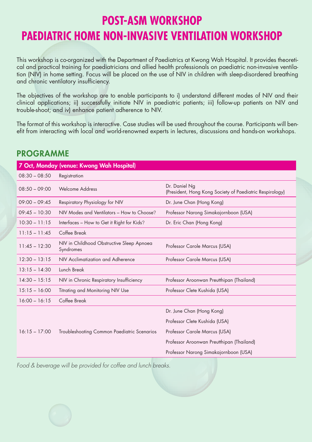## **POST-ASM WORKSHOP PAEDIATRIC HOME NON-INVASIVE VENTILATION WORKSHOP**

This workshop is co-organized with the Department of Paediatrics at Kwong Wah Hospital. It provides theoretical and practical training for paediatricians and allied health professionals on paediatric non-invasive ventilation (NIV) in home setting. Focus will be placed on the use of NIV in children with sleep-disordered breathing and chronic ventilatory insufficiency.

The objectives of the workshop are to enable participants to i) understand different modes of NIV and their clinical applications; ii) successfully initiate NIV in paediatric patients; iii) follow-up patients on NIV and trouble-shoot; and iv) enhance patient adherence to NIV.

The format of this workshop is interactive. Case studies will be used throughout the course. Participants will benefit from interacting with local and world-renowned experts in lectures, discussions and hands-on workshops.

### **PROGRAMME**

| 7 Oct, Monday (venue: Kwong Wah Hospital) |                                                        |                                                                           |  |  |  |  |  |  |
|-------------------------------------------|--------------------------------------------------------|---------------------------------------------------------------------------|--|--|--|--|--|--|
| $08:30 - 08:50$                           | Registration                                           |                                                                           |  |  |  |  |  |  |
| $08:50 - 09:00$                           | <b>Welcome Address</b>                                 | Dr. Daniel Ng<br>(President, Hong Kong Society of Paediatric Respirology) |  |  |  |  |  |  |
| $09:00 - 09:45$                           | Respiratory Physiology for NIV                         | Dr. June Chan (Hong Kong)                                                 |  |  |  |  |  |  |
| $09:45 - 10:30$                           | NIV Modes and Ventilators - How to Choose?             | Professor Narong Simakajornboon (USA)                                     |  |  |  |  |  |  |
| $10:30 - 11:15$                           | Interfaces - How to Get it Right for Kids?             | Dr. Eric Chan (Hong Kong)                                                 |  |  |  |  |  |  |
| $11:15 - 11:45$                           | Coffee Break                                           |                                                                           |  |  |  |  |  |  |
| $11:45 - 12:30$                           | NIV in Childhood Obstructive Sleep Apnoea<br>Syndromes | Professor Carole Marcus (USA)                                             |  |  |  |  |  |  |
| $12:30 - 13:15$                           | NIV Acclimatization and Adherence                      | Professor Carole Marcus (USA)                                             |  |  |  |  |  |  |
| $13:15 - 14:30$                           | Lunch Break                                            |                                                                           |  |  |  |  |  |  |
| $14:30 - 15:15$                           | NIV in Chronic Respiratory Insufficiency               | Professor Aroonwan Preutthipan (Thailand)                                 |  |  |  |  |  |  |
| $15:15 - 16:00$                           | <b>Titrating and Monitoring NIV Use</b>                | Professor Clete Kushida (USA)                                             |  |  |  |  |  |  |
| $16:00 - 16:15$                           | Coffee Break                                           |                                                                           |  |  |  |  |  |  |
|                                           |                                                        | Dr. June Chan (Hong Kong)                                                 |  |  |  |  |  |  |
|                                           |                                                        | Professor Clete Kushida (USA)                                             |  |  |  |  |  |  |
| $16:15 - 17:00$                           | Troubleshooting Common Paediatric Scenarios            | Professor Carole Marcus (USA)                                             |  |  |  |  |  |  |
|                                           |                                                        | Professor Aroonwan Preutthipan (Thailand)                                 |  |  |  |  |  |  |
|                                           |                                                        | Professor Narong Simakajornboon (USA)                                     |  |  |  |  |  |  |

*Food & beverage will be provided for coffee and lunch breaks.*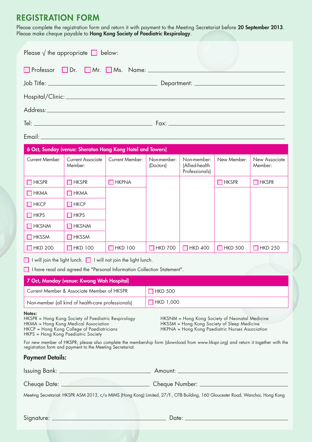## REGISTRATION FORM

Please complete the registration form and return it with payment to the Meeting Secretariat before **20 September 2013**. Please make cheque payable to **Hong Kong Society of Paediatric Respirology**.

|                                               | Please $\sqrt{ }$ the appropriate $\boxed{\phantom{ } }$ below:                                                                                                                              |                 |                                                                                                                                                                                                                                      |                                                 |                                                                                                                                                  |                          |  |  |
|-----------------------------------------------|----------------------------------------------------------------------------------------------------------------------------------------------------------------------------------------------|-----------------|--------------------------------------------------------------------------------------------------------------------------------------------------------------------------------------------------------------------------------------|-------------------------------------------------|--------------------------------------------------------------------------------------------------------------------------------------------------|--------------------------|--|--|
|                                               |                                                                                                                                                                                              |                 |                                                                                                                                                                                                                                      |                                                 |                                                                                                                                                  |                          |  |  |
|                                               |                                                                                                                                                                                              |                 |                                                                                                                                                                                                                                      |                                                 |                                                                                                                                                  |                          |  |  |
|                                               |                                                                                                                                                                                              |                 |                                                                                                                                                                                                                                      |                                                 |                                                                                                                                                  |                          |  |  |
|                                               |                                                                                                                                                                                              |                 |                                                                                                                                                                                                                                      |                                                 |                                                                                                                                                  |                          |  |  |
|                                               |                                                                                                                                                                                              |                 |                                                                                                                                                                                                                                      |                                                 |                                                                                                                                                  |                          |  |  |
|                                               |                                                                                                                                                                                              |                 |                                                                                                                                                                                                                                      |                                                 |                                                                                                                                                  |                          |  |  |
| Email: Email: Album and the Society           |                                                                                                                                                                                              |                 |                                                                                                                                                                                                                                      |                                                 |                                                                                                                                                  |                          |  |  |
|                                               | 6 Oct, Sunday (venue: Sheraton Hong Kong Hotel and Towers)                                                                                                                                   |                 |                                                                                                                                                                                                                                      |                                                 |                                                                                                                                                  |                          |  |  |
| Current Member:                               | Current Associate<br>Member:                                                                                                                                                                 | Current Member: | Non-member:<br>(Doctors)                                                                                                                                                                                                             | Non-member:<br>(Allied-health<br>Professionals) | New Member:                                                                                                                                      | New Associate<br>Member: |  |  |
| $\Box$ HKSPR                                  | $\Box$ HKSPR                                                                                                                                                                                 | $\Box$ HKPNA    |                                                                                                                                                                                                                                      |                                                 | $\Box$ hkspr                                                                                                                                     | $\Box$ HKSPR             |  |  |
| $\Box$ HKMA                                   | ПНКМА                                                                                                                                                                                        |                 |                                                                                                                                                                                                                                      |                                                 |                                                                                                                                                  |                          |  |  |
| $\Box$ HKCP                                   | $\Box$ HKCP                                                                                                                                                                                  |                 |                                                                                                                                                                                                                                      |                                                 |                                                                                                                                                  |                          |  |  |
| $\Box$ HKPS                                   | $\Box$ HKPS                                                                                                                                                                                  |                 |                                                                                                                                                                                                                                      |                                                 |                                                                                                                                                  |                          |  |  |
| $\Box$ HKSNM                                  | $\Box$ HKSNM                                                                                                                                                                                 |                 |                                                                                                                                                                                                                                      |                                                 |                                                                                                                                                  |                          |  |  |
| $\Box$ HKSSM                                  | $\Box$ HKSSM                                                                                                                                                                                 |                 |                                                                                                                                                                                                                                      |                                                 |                                                                                                                                                  |                          |  |  |
| $\Box$ HKD 200                                | $\Box$ HKD 100                                                                                                                                                                               | $\Box$ HKD 100  | $\Box$ HKD 700                                                                                                                                                                                                                       | $\Box$ HKD 400                                  | $\Box$ HKD 500                                                                                                                                   | $\Box$ HKD 250           |  |  |
|                                               | $\Box$ I will join the light lunch. $\Box$ I will not join the light lunch.                                                                                                                  |                 |                                                                                                                                                                                                                                      |                                                 |                                                                                                                                                  |                          |  |  |
|                                               | I have read and agreed the "Personal Information Collection Statement".                                                                                                                      |                 |                                                                                                                                                                                                                                      |                                                 |                                                                                                                                                  |                          |  |  |
|                                               | 7 Oct, Monday (venue: Kwong Wah Hospital)                                                                                                                                                    |                 |                                                                                                                                                                                                                                      |                                                 |                                                                                                                                                  |                          |  |  |
|                                               | Current Member & Associate Member of HKSPR                                                                                                                                                   |                 | $\Box$ HKD 500                                                                                                                                                                                                                       |                                                 |                                                                                                                                                  |                          |  |  |
|                                               | Non-member (all kind of health-care professionals)                                                                                                                                           |                 | $\Box$ HKD 1,000                                                                                                                                                                                                                     |                                                 |                                                                                                                                                  |                          |  |  |
| Notes:<br>HKPS = Hong Kong Paediatric Society | HKSPR = Hong Kong Society of Paediatric Respirology<br>HKMA = Hong Kong Medical Association<br>HKCP = Hong Kong College of Paediatricians                                                    |                 |                                                                                                                                                                                                                                      |                                                 | HKSNM = Hong Kong Society of Neonatal Medicine<br>HKSSM = Hong Kong Society of Sleep Medicine<br>HKPNA = Hong Kong Paediatric Nurses Association |                          |  |  |
|                                               | For new member of HKSPR, please also complete the membership form (download from www.hkspr.org) and return it together with the<br>registration form and payment to the Meeting Secretariat. |                 |                                                                                                                                                                                                                                      |                                                 |                                                                                                                                                  |                          |  |  |
| Payment Details:                              |                                                                                                                                                                                              |                 |                                                                                                                                                                                                                                      |                                                 |                                                                                                                                                  |                          |  |  |
|                                               |                                                                                                                                                                                              |                 |                                                                                                                                                                                                                                      |                                                 |                                                                                                                                                  |                          |  |  |
| Cheuge Date: _______                          |                                                                                                                                                                                              | Cheque Number:  |                                                                                                                                                                                                                                      |                                                 |                                                                                                                                                  |                          |  |  |
|                                               | Meeting Secretariat: HKSPR ASM 2013, c/o MIMS (Hong Kong) Limited, 27/F., OTB Building, 160 Gloucester Road, Wanchai, Hong Kong                                                              |                 |                                                                                                                                                                                                                                      |                                                 |                                                                                                                                                  |                          |  |  |
|                                               |                                                                                                                                                                                              |                 |                                                                                                                                                                                                                                      |                                                 |                                                                                                                                                  |                          |  |  |
| Signature: _                                  |                                                                                                                                                                                              |                 | <u> Date: 2000 - 2000 - 2000 - 2000 - 2000 - 2000 - 2000 - 2000 - 2000 - 2000 - 2000 - 2000 - 2000 - 2000 - 2000 - 2000 - 2000 - 2000 - 2000 - 2000 - 2000 - 2000 - 2000 - 2000 - 2000 - 2000 - 2000 - 2000 - 2000 - 2000 - 2000</u> |                                                 |                                                                                                                                                  |                          |  |  |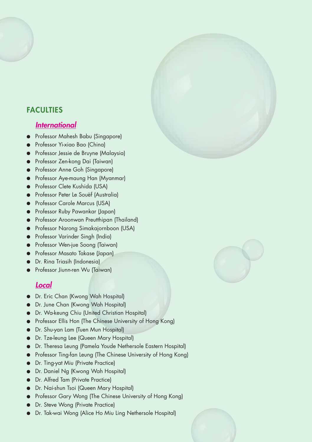#### **FACULTIES**

#### *International*

- Professor Mahesh Babu (Singapore)
- Professor Yi-xiao Bao (China)
- Professor Jessie de Bruyne (Malaysia)
- Professor Zen-kong Dai (Taiwan)
- **•** Professor Anne Goh (Singapore)
- Professor Aye-maung Han (Myanmar)
- **Professor Clete Kushida (USA)**
- **•** Professor Peter Le Souëf (Australia)
- Professor Carole Marcus (USA)
- **•** Professor Ruby Pawankar (Japan)
- Professor Aroonwan Preutthipan (Thailand)
- Professor Narong Simakajornboon (USA)
- Professor Varinder Singh (India)
- Professor Wen-jue Soong (Taiwan)
- Professor Masato Takase (Japan)
- Dr. Rina Triasih (Indonesia)
- Professor Jiunn-ren Wu (Taiwan)

### *Local*

- Dr. Eric Chan (Kwong Wah Hospital)
- Dr. June Chan (Kwong Wah Hospital)
- Dr. Wa-keung Chiu (United Christian Hospital)
- Professor Ellis Hon (The Chinese University of Hong Kong)
- Dr. Shu-yan Lam (Tuen Mun Hospital)
- Dr. Tze-leung Lee (Queen Mary Hospital)
- Dr. Theresa Leung (Pamela Youde Nethersole Eastern Hospital)
- Professor Ting-fan Leung (The Chinese University of Hong Kong)
- Dr. Ting-yat Miu (Private Practice)
- Dr. Daniel Ng (Kwong Wah Hospital)
- Dr. Alfred Tam (Private Practice)
- Dr. Nai-shun Tsoi (Queen Mary Hospital)
- Professor Gary Wong (The Chinese University of Hong Kong)
- Dr. Steve Wong (Private Practice)
- Dr. Tak-wai Wong (Alice Ho Miu Ling Nethersole Hospital)